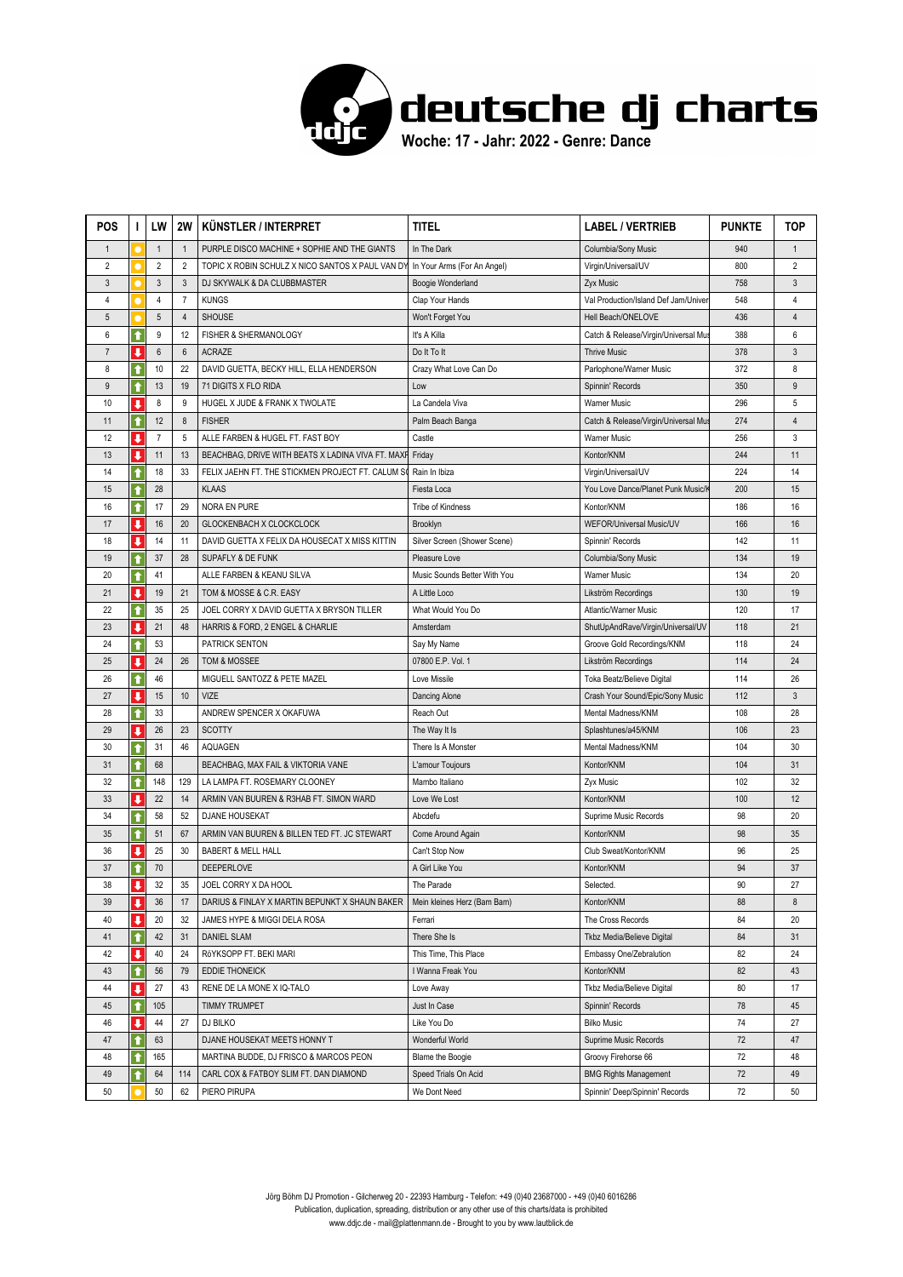

| <b>POS</b>      | ı                       | LW              | 2W             | <b>KUNSTLER / INTERPRET</b>                       | <b>TITEL</b>                 | <b>LABEL / VERTRIEB</b>              | <b>PUNKTE</b> | <b>TOP</b>     |
|-----------------|-------------------------|-----------------|----------------|---------------------------------------------------|------------------------------|--------------------------------------|---------------|----------------|
| $\mathbf{1}$    |                         | $\mathbf{1}$    | $\mathbf{1}$   | PURPLE DISCO MACHINE + SOPHIE AND THE GIANTS      | In The Dark                  | Columbia/Sony Music                  | 940           | $\mathbf{1}$   |
| $\overline{2}$  |                         | $\overline{2}$  | $\overline{2}$ | TOPIC X ROBIN SCHULZ X NICO SANTOS X PAUL VAN DY  | In Your Arms (For An Angel)  | Virgin/Universal/UV                  | 800           | $\overline{2}$ |
| $\mathfrak{Z}$  |                         | $\mathbf{3}$    | $\mathbf{3}$   | DJ SKYWALK & DA CLUBBMASTER                       | Boogie Wonderland            | Zyx Music                            | 758           | 3              |
| 4               |                         | 4               | $\overline{7}$ | <b>KUNGS</b>                                      | Clap Your Hands              | Val Production/Island Def Jam/Univer | 548           | 4              |
| $5\phantom{.0}$ |                         | $5\phantom{.0}$ | $\sqrt{4}$     | <b>SHOUSE</b>                                     | Won't Forget You             | Hell Beach/ONELOVE                   | 436           | $\overline{4}$ |
| 6               | $\ddot{\textbf{t}}$     | 9               | 12             | FISHER & SHERMANOLOGY                             | It's A Killa                 | Catch & Release/Virgin/Universal Mu  | 388           | 6              |
| $\overline{7}$  | $\overline{\mathbf{I}}$ | $6\phantom{1}$  | $6\phantom{1}$ | <b>ACRAZE</b>                                     | Do It To It                  | <b>Thrive Music</b>                  | 378           | 3              |
| 8               | $\bullet$               | 10              | 22             | DAVID GUETTA, BECKY HILL, ELLA HENDERSON          | Crazy What Love Can Do       | Parlophone/Warner Music              | 372           | 8              |
| 9               | ↑                       | 13              | 19             | 71 DIGITS X FLO RIDA                              | Low                          | Spinnin' Records                     | 350           | 9              |
| 10              | J                       | 8               | 9              | HUGEL X JUDE & FRANK X TWOLATE                    | La Candela Viva              | <b>Warner Music</b>                  | 296           | 5              |
| 11              | ↑                       | 12              | $\bf 8$        | <b>FISHER</b>                                     | Palm Beach Banga             | Catch & Release/Virgin/Universal Mus | 274           | $\overline{4}$ |
| 12              | ↓                       | $\overline{7}$  | 5              | ALLE FARBEN & HUGEL FT. FAST BOY                  | Castle                       | <b>Warner Music</b>                  | 256           | 3              |
| 13              | J                       | 11              | 13             | BEACHBAG, DRIVE WITH BEATS X LADINA VIVA FT. MAXP | Friday                       | Kontor/KNM                           | 244           | 11             |
| 14              | ↑                       | 18              | 33             | FELIX JAEHN FT. THE STICKMEN PROJECT FT. CALUM SO | Rain In Ibiza                | Virgin/Universal/UV                  | 224           | 14             |
| 15              | ↑                       | 28              |                | <b>KLAAS</b>                                      | Fiesta Loca                  | You Love Dance/Planet Punk Music/ł   | 200           | 15             |
| 16              | $\hat{\mathbf{r}}$      | 17              | 29             | NORA EN PURE                                      | Tribe of Kindness            | Kontor/KNM                           | 186           | 16             |
| 17              | $\overline{\mathbf{I}}$ | 16              | 20             | GLOCKENBACH X CLOCKCLOCK                          | Brooklyn                     | WEFOR/Universal Music/UV             | 166           | 16             |
| 18              | ↓                       | 14              | 11             | DAVID GUETTA X FELIX DA HOUSECAT X MISS KITTIN    | Silver Screen (Shower Scene) | Spinnin' Records                     | 142           | 11             |
| 19              | ↑                       | 37              | 28             | SUPAFLY & DE FUNK                                 | Pleasure Love                | Columbia/Sony Music                  | 134           | 19             |
| 20              | ↑                       | 41              |                | ALLE FARBEN & KEANU SILVA                         | Music Sounds Better With You | <b>Warner Music</b>                  | 134           | 20             |
| 21              | $\overline{\mathbf{I}}$ | 19              | 21             | TOM & MOSSE & C.R. EASY                           | A Little Loco                | Likström Recordings                  | 130           | 19             |
| 22              | ↑                       | 35              | 25             | JOEL CORRY X DAVID GUETTA X BRYSON TILLER         | What Would You Do            | Atlantic/Warner Music                | 120           | 17             |
| 23              | J                       | 21              | 48             | HARRIS & FORD, 2 ENGEL & CHARLIE                  | Amsterdam                    | ShutUpAndRave/Virgin/Universal/UV    | 118           | 21             |
| 24              | ↑                       | 53              |                | PATRICK SENTON                                    | Say My Name                  | Groove Gold Recordings/KNM           | 118           | 24             |
| 25              | ı                       | 24              | 26             | TOM & MOSSEE                                      | 07800 E.P. Vol. 1            | Likström Recordings                  | 114           | 24             |
| 26              | ↑                       | 46              |                | MIGUELL SANTOZZ & PETE MAZEL                      | Love Missile                 | Toka Beatz/Believe Digital           | 114           | 26             |
| 27              | J                       | 15              | 10             | <b>VIZE</b>                                       | Dancing Alone                | Crash Your Sound/Epic/Sony Music     | 112           | $\mathbf{3}$   |
| 28              | ↑                       | 33              |                | ANDREW SPENCER X OKAFUWA                          | Reach Out                    | Mental Madness/KNM                   | 108           | 28             |
| 29              | ↓                       | 26              | 23             | <b>SCOTTY</b>                                     | The Way It Is                | Splashtunes/a45/KNM                  | 106           | 23             |
| 30              | ↑                       | 31              | 46             | <b>AQUAGEN</b>                                    | There Is A Monster           | Mental Madness/KNM                   | 104           | 30             |
| 31              | ↑                       | 68              |                | BEACHBAG, MAX FAIL & VIKTORIA VANE                | L'amour Toujours             | Kontor/KNM                           | 104           | 31             |
| 32              | ↑                       | 148             | 129            | LA LAMPA FT. ROSEMARY CLOONEY                     | Mambo Italiano               | Zyx Music                            | 102           | 32             |
| 33              | ı                       | 22              | 14             | ARMIN VAN BUUREN & R3HAB FT. SIMON WARD           | Love We Lost                 | Kontor/KNM                           | 100           | 12             |
| 34              | $\ddot{\textbf{t}}$     | 58              | 52             | <b>DJANE HOUSEKAT</b>                             | Abcdefu                      | Suprime Music Records                | 98            | 20             |
| 35              | ↑                       | 51              | 67             | ARMIN VAN BUUREN & BILLEN TED FT. JC STEWART      | Come Around Again            | Kontor/KNM                           | 98            | 35             |
| 36              | $\blacksquare$          | 25              | 30             | <b>BABERT &amp; MELL HALL</b>                     | Can't Stop Now               | Club Sweat/Kontor/KNM                | 96            | 25             |
| 37              | ↑                       | 70              |                | <b>DEEPERLOVE</b>                                 | A Girl Like You              | Kontor/KNM                           | 94            | 37             |
| 38              | υ                       | 32              | 35             | JOEL CORRY X DA HOOL                              | The Parade                   | Selected.                            | 90            | 27             |
| 39              | ↓                       | 36              | 17             | DARIUS & FINLAY X MARTIN BEPUNKT X SHAUN BAKER    | Mein kleines Herz (Bam Bam)  | Kontor/KNM                           | 88            | 8              |
| 40              | ↓                       | 20              | 32             | JAMES HYPE & MIGGI DELA ROSA                      | Ferrari                      | The Cross Records                    | 84            | 20             |
| 41              | ↑                       | 42              | 31             | <b>DANIEL SLAM</b>                                | There She Is                 | Tkbz Media/Believe Digital           | 84            | 31             |
| 42              | J                       | 40              | 24             | RöYKSOPP FT. BEKI MARI                            | This Time, This Place        | Embassy One/Zebralution              | 82            | 24             |
| 43              | ↑                       | 56              | 79             | EDDIE THONEICK                                    | I Wanna Freak You            | Kontor/KNM                           | 82            | 43             |
| 44              | J                       | 27              | 43             | RENE DE LA MONE X IQ-TALO                         | Love Away                    | Tkbz Media/Believe Digital           | 80            | 17             |
| 45              | ↑                       | 105             |                | TIMMY TRUMPET                                     | Just In Case                 | Spinnin' Records                     | 78            | 45             |
| 46              | ↓                       | 44              | 27             | DJ BILKO                                          | Like You Do                  | <b>Bilko Music</b>                   | 74            | 27             |
| 47              | ↑                       | 63              |                | DJANE HOUSEKAT MEETS HONNY T                      | Wonderful World              | Suprime Music Records                | 72            | 47             |
| 48              | ↑                       | 165             |                | MARTINA BUDDE, DJ FRISCO & MARCOS PEON            | Blame the Boogie             | Groovy Firehorse 66                  | 72            | 48             |
| 49              | ↑                       | 64              | 114            | CARL COX & FATBOY SLIM FT. DAN DIAMOND            | Speed Trials On Acid         | <b>BMG Rights Management</b>         | 72            | 49             |
| 50              |                         | 50              | 62             | PIERO PIRUPA                                      | We Dont Need                 | Spinnin' Deep/Spinnin' Records       | 72            | 50             |
|                 |                         |                 |                |                                                   |                              |                                      |               |                |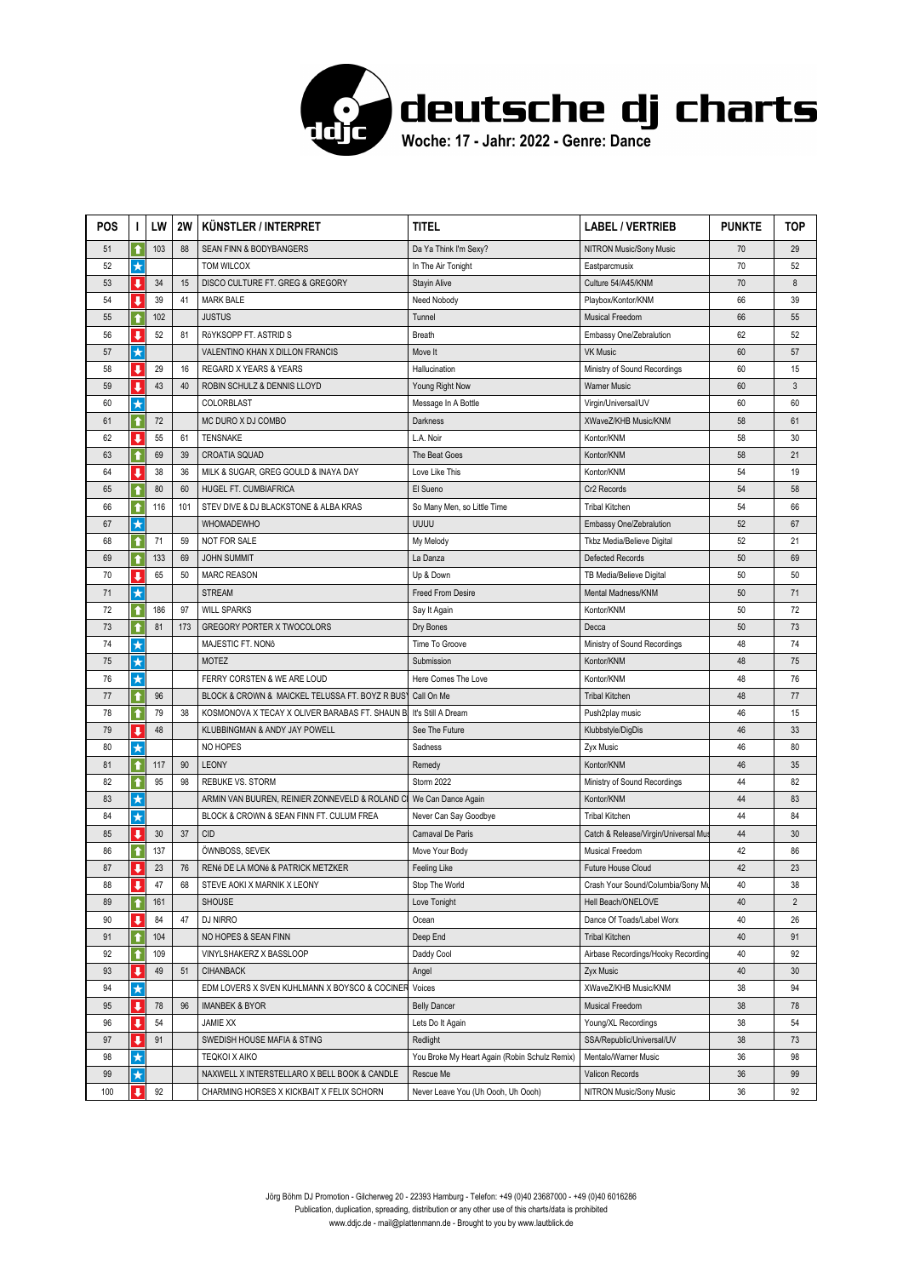

| <b>POS</b> | I.                      | LW  | 2W  | KÜNSTLER / INTERPRET                            | TITEL                                         | <b>LABEL / VERTRIEB</b>              | <b>PUNKTE</b> | TOP            |
|------------|-------------------------|-----|-----|-------------------------------------------------|-----------------------------------------------|--------------------------------------|---------------|----------------|
| 51         | ↑                       | 103 | 88  | SEAN FINN & BODYBANGERS                         | Da Ya Think I'm Sexy?                         | <b>NITRON Music/Sony Music</b>       | 70            | 29             |
| 52         | $\star$                 |     |     | TOM WILCOX                                      | In The Air Tonight                            | Eastparcmusix                        | 70            | 52             |
| 53         | ↓                       | 34  | 15  | DISCO CULTURE FT. GREG & GREGORY                | Stayin Alive                                  | Culture 54/A45/KNM                   | 70            | 8              |
| 54         | ı                       | 39  | 41  | <b>MARK BALE</b>                                | Need Nobody                                   | Playbox/Kontor/KNM                   | 66            | 39             |
| 55         | $\bullet$               | 102 |     | <b>JUSTUS</b>                                   | Tunnel                                        | <b>Musical Freedom</b>               | 66            | 55             |
| 56         | J                       | 52  | 81  | RöYKSOPP FT. ASTRID S                           | Breath                                        | Embassy One/Zebralution              | 62            | 52             |
| 57         | ★                       |     |     | VALENTINO KHAN X DILLON FRANCIS                 | Move It                                       | <b>VK Music</b>                      | 60            | 57             |
| 58         | $\overline{\mathbf{I}}$ | 29  | 16  | REGARD X YEARS & YEARS                          | Hallucination                                 | Ministry of Sound Recordings         | 60            | 15             |
| 59         | ↓                       | 43  | 40  | ROBIN SCHULZ & DENNIS LLOYD                     | Young Right Now                               | <b>Warner Music</b>                  | 60            | 3              |
| 60         | $\star$                 |     |     | COLORBLAST                                      | Message In A Bottle                           | Virgin/Universal/UV                  | 60            | 60             |
| 61         | ↑                       | 72  |     | MC DURO X DJ COMBO                              | Darkness                                      | XWaveZ/KHB Music/KNM                 | 58            | 61             |
| 62         | ↓                       | 55  | 61  | <b>TENSNAKE</b>                                 | L.A. Noir                                     | Kontor/KNM                           | 58            | 30             |
| 63         | ↑                       | 69  | 39  | <b>CROATIA SQUAD</b>                            | The Beat Goes                                 | Kontor/KNM                           | 58            | 21             |
| 64         | J                       | 38  | 36  | MILK & SUGAR, GREG GOULD & INAYA DAY            | Love Like This                                | Kontor/KNM                           | 54            | 19             |
| 65         | ↑                       | 80  | 60  | HUGEL FT. CUMBIAFRICA                           | El Sueno                                      | Cr2 Records                          | 54            | 58             |
| 66         | $\bullet$               | 116 | 101 | STEV DIVE & DJ BLACKSTONE & ALBA KRAS           | So Many Men, so Little Time                   | <b>Tribal Kitchen</b>                | 54            | 66             |
| 67         | $\star$                 |     |     | <b>WHOMADEWHO</b>                               | UUUU                                          | Embassy One/Zebralution              | 52            | 67             |
| 68         | ↑                       | 71  | 59  | <b>NOT FOR SALE</b>                             | My Melody                                     | Tkbz Media/Believe Digital           | 52            | 21             |
| 69         | ↑                       | 133 | 69  | <b>JOHN SUMMIT</b>                              | La Danza                                      | Defected Records                     | 50            | 69             |
| 70         | ↓                       | 65  | 50  | <b>MARC REASON</b>                              | Up & Down                                     | TB Media/Believe Digital             | 50            | 50             |
| 71         | $\star$                 |     |     | <b>STREAM</b>                                   | <b>Freed From Desire</b>                      | Mental Madness/KNM                   | 50            | 71             |
| 72         | ↑                       | 186 | 97  | <b>WILL SPARKS</b>                              | Say It Again                                  | Kontor/KNM                           | 50            | 72             |
| 73         | ↟                       | 81  | 173 | <b>GREGORY PORTER X TWOCOLORS</b>               | Dry Bones                                     | Decca                                | 50            | 73             |
| 74         | ★                       |     |     | MAJESTIC FT. NONÔ                               | Time To Groove                                | Ministry of Sound Recordings         | 48            | 74             |
| 75         | $\star$                 |     |     | <b>MOTEZ</b>                                    | Submission                                    | Kontor/KNM                           | 48            | 75             |
| 76         | $\star$                 |     |     | FERRY CORSTEN & WE ARE LOUD                     | Here Comes The Love                           | Kontor/KNM                           | 48            | 76             |
| 77         | ↑                       | 96  |     | BLOCK & CROWN & MAICKEL TELUSSA FT. BOYZ R BUS' | Call On Me                                    | <b>Tribal Kitchen</b>                | 48            | 77             |
| 78         | ↑                       | 79  | 38  | KOSMONOVA X TECAY X OLIVER BARABAS FT. SHAUN B. | It's Still A Dream                            | Push2play music                      | 46            | 15             |
| 79         | ↓                       | 48  |     | KLUBBINGMAN & ANDY JAY POWELL                   | See The Future                                | Klubbstyle/DigDis                    | 46            | 33             |
| 80         | $\star$                 |     |     | NO HOPES                                        | Sadness                                       | Zyx Music                            | 46            | 80             |
| 81         | ↑                       | 117 | 90  | <b>LEONY</b>                                    | Remedy                                        | Kontor/KNM                           | 46            | 35             |
| 82         | ↑                       | 95  | 98  | <b>REBUKE VS. STORM</b>                         | Storm 2022                                    | Ministry of Sound Recordings         | 44            | 82             |
| 83         | $\star$                 |     |     | ARMIN VAN BUUREN, REINIER ZONNEVELD & ROLAND CI | We Can Dance Again                            | Kontor/KNM                           | 44            | 83             |
| 84         | $\star$                 |     |     | BLOCK & CROWN & SEAN FINN FT. CULUM FREA        | Never Can Say Goodbye                         | <b>Tribal Kitchen</b>                | 44            | 84             |
| 85         | ↓                       | 30  | 37  | <b>CID</b>                                      | Carnaval De Paris                             | Catch & Release/Virgin/Universal Mus | 44            | 30             |
| 86         | ↑                       | 137 |     | ÖWNBOSS, SEVEK                                  | Move Your Body                                | Musical Freedom                      | 42            | 86             |
| 87         | ↓                       | 23  | 76  | RENé DE LA MONé & PATRICK METZKER               | Feeling Like                                  | <b>Future House Cloud</b>            | 42            | 23             |
| 88         | ↓                       | 47  | 68  | STEVE AOKI X MARNIK X LEONY                     | Stop The World                                | Crash Your Sound/Columbia/Sony Mu    | 40            | 38             |
| 89         | ↑                       | 161 |     | <b>SHOUSE</b>                                   | Love Tonight                                  | Hell Beach/ONELOVE                   | 40            | $\overline{2}$ |
| 90         | $\overline{\mathbf{I}}$ | 84  | 47  | DJ NIRRO                                        | Ocean                                         | Dance Of Toads/Label Worx            | 40            | 26             |
| 91         | $\bullet$               | 104 |     | NO HOPES & SEAN FINN                            | Deep End                                      | <b>Tribal Kitchen</b>                | 40            | 91             |
| 92         | ↑                       | 109 |     | VINYLSHAKERZ X BASSLOOP                         | Daddy Cool                                    | Airbase Recordings/Hooky Recording   | 40            | 92             |
| 93         | $\overline{\mathbf{I}}$ | 49  | 51  | <b>CIHANBACK</b>                                | Angel                                         | Zyx Music                            | 40            | 30             |
| 94         | $\star$                 |     |     | EDM LOVERS X SVEN KUHLMANN X BOYSCO & COCINER   | Voices                                        | XWaveZ/KHB Music/KNM                 | 38            | 94             |
| 95         | $\ddot{\phantom{a}}$    | 78  | 96  | <b>IMANBEK &amp; BYOR</b>                       | <b>Belly Dancer</b>                           | Musical Freedom                      | 38            | 78             |
| 96         | ↓                       | 54  |     | JAMIE XX                                        | Lets Do It Again                              | Young/XL Recordings                  | 38            | 54             |
| 97         | ↓                       | 91  |     | SWEDISH HOUSE MAFIA & STING                     | Redlight                                      | SSA/Republic/Universal/UV            | 38            | 73             |
| 98         | $\star$                 |     |     | <b>TEQKOI X AIKO</b>                            | You Broke My Heart Again (Robin Schulz Remix) | Mentalo/Warner Music                 | 36            | 98             |
| 99         | $\star$                 |     |     | NAXWELL X INTERSTELLARO X BELL BOOK & CANDLE    | Rescue Me                                     | Valicon Records                      | 36            | 99             |
| 100        | $\overline{\mathbf{I}}$ | 92  |     | CHARMING HORSES X KICKBAIT X FELIX SCHORN       | Never Leave You (Uh Oooh, Uh Oooh)            | NITRON Music/Sony Music              | 36            | 92             |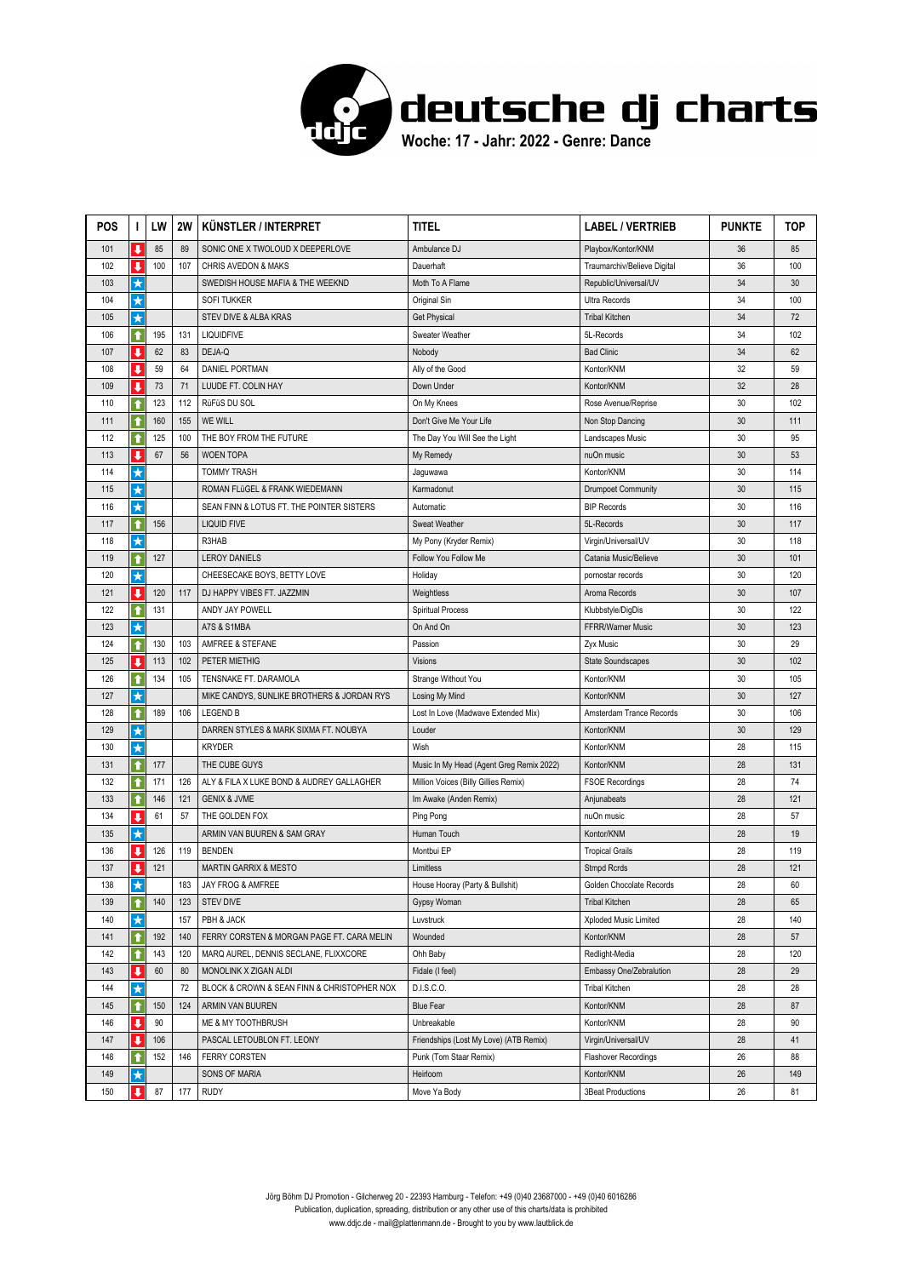

| <b>POS</b> | ı                       | LW  | <b>2W</b> | KÜNSTLER / INTERPRET                        | titel                                    | <b>LABEL / VERTRIEB</b>     | <b>PUNKTE</b> | TOP |
|------------|-------------------------|-----|-----------|---------------------------------------------|------------------------------------------|-----------------------------|---------------|-----|
| 101        | $\ddot{\phantom{a}}$    | 85  | 89        | SONIC ONE X TWOLOUD X DEEPERLOVE            | Ambulance DJ                             | Playbox/Kontor/KNM          | 36            | 85  |
| 102        | ↓                       | 100 | 107       | CHRIS AVEDON & MAKS                         | Dauerhaft                                | Traumarchiv/Believe Digital | 36            | 100 |
| 103        | $\star$                 |     |           | SWEDISH HOUSE MAFIA & THE WEEKND            | Moth To A Flame                          | Republic/Universal/UV       | 34            | 30  |
| 104        | $\star$                 |     |           | <b>SOFI TUKKER</b>                          | Original Sin                             | Ultra Records               | 34            | 100 |
| 105        | $\star$                 |     |           | STEV DIVE & ALBA KRAS                       | <b>Get Physical</b>                      | <b>Tribal Kitchen</b>       | 34            | 72  |
| 106        | ↑                       | 195 | 131       | <b>LIQUIDFIVE</b>                           | Sweater Weather                          | 5L-Records                  | 34            | 102 |
| 107        | J                       | 62  | 83        | DEJA-Q                                      | Nobody                                   | <b>Bad Clinic</b>           | 34            | 62  |
| 108        | $\ddot{\phantom{a}}$    | 59  | 64        | DANIEL PORTMAN                              | Ally of the Good                         | Kontor/KNM                  | 32            | 59  |
| 109        | ₩                       | 73  | 71        | LUUDE FT. COLIN HAY                         | Down Under                               | Kontor/KNM                  | 32            | 28  |
| 110        | ↑                       | 123 | 112       | RüFüS DU SOL                                | On My Knees                              | Rose Avenue/Reprise         | 30            | 102 |
| 111        | ↑                       | 160 | 155       | WE WILL                                     | Don't Give Me Your Life                  | Non Stop Dancing            | 30            | 111 |
| 112        | ↑                       | 125 | 100       | THE BOY FROM THE FUTURE                     | The Day You Will See the Light           | Landscapes Music            | 30            | 95  |
| 113        | J                       | 67  | 56        | <b>WOEN TOPA</b>                            | My Remedy                                | nuOn music                  | 30            | 53  |
| 114        | $\star$                 |     |           | <b>TOMMY TRASH</b>                          | Jaguwawa                                 | Kontor/KNM                  | 30            | 114 |
| 115        | $\star$                 |     |           | ROMAN FLüGEL & FRANK WIEDEMANN              | Karmadonut                               | <b>Drumpoet Community</b>   | 30            | 115 |
| 116        | $\star$                 |     |           | SEAN FINN & LOTUS FT. THE POINTER SISTERS   | Automatic                                | <b>BIP Records</b>          | 30            | 116 |
| 117        | ↑                       | 156 |           | <b>LIQUID FIVE</b>                          | Sweat Weather                            | 5L-Records                  | 30            | 117 |
| 118        | $\star$                 |     |           | R3HAB                                       | My Pony (Kryder Remix)                   | Virgin/Universal/UV         | 30            | 118 |
| 119        | ↑                       | 127 |           | <b>LEROY DANIELS</b>                        | Follow You Follow Me                     | Catania Music/Believe       | 30            | 101 |
| 120        | $\star$                 |     |           | CHEESECAKE BOYS, BETTY LOVE                 | Holiday                                  | pornostar records           | 30            | 120 |
| 121        | $\overline{\mathbf{1}}$ | 120 | 117       | DJ HAPPY VIBES FT, JAZZMIN                  | Weightless                               | Aroma Records               | 30            | 107 |
| 122        | ↑                       | 131 |           | ANDY JAY POWELL                             | <b>Spiritual Process</b>                 | Klubbstyle/DigDis           | 30            | 122 |
| 123        | $\star$                 |     |           | A7S & S1MBA                                 | On And On                                | FFRR/Warner Music           | 30            | 123 |
| 124        | $\bullet$               | 130 | 103       | AMFREE & STEFANE                            | Passion                                  | Zyx Music                   | 30            | 29  |
| 125        | $\overline{\mathbf{I}}$ | 113 | 102       | PETER MIETHIG                               | Visions                                  | State Soundscapes           | 30            | 102 |
| 126        | ↟                       | 134 | 105       | TENSNAKE FT. DARAMOLA                       | Strange Without You                      | Kontor/KNM                  | 30            | 105 |
| 127        | $\star$                 |     |           | MIKE CANDYS, SUNLIKE BROTHERS & JORDAN RYS  | Losing My Mind                           | Kontor/KNM                  | 30            | 127 |
| 128        | ↑                       | 189 | 106       | <b>LEGEND B</b>                             | Lost In Love (Madwave Extended Mix)      | Amsterdam Trance Records    | 30            | 106 |
| 129        | $\star$                 |     |           | DARREN STYLES & MARK SIXMA FT. NOUBYA       | Louder                                   | Kontor/KNM                  | 30            | 129 |
| 130        | $\star$                 |     |           | <b>KRYDER</b>                               | Wish                                     | Kontor/KNM                  | 28            | 115 |
| 131        | ↑                       | 177 |           | THE CUBE GUYS                               | Music In My Head (Agent Greg Remix 2022) | Kontor/KNM                  | 28            | 131 |
| 132        | ↑                       | 171 | 126       | ALY & FILA X LUKE BOND & AUDREY GALLAGHER   | Million Voices (Billy Gillies Remix)     | <b>FSOE Recordings</b>      | 28            | 74  |
| 133        | $\bullet$               | 146 | 121       | <b>GENIX &amp; JVME</b>                     | Im Awake (Anden Remix)                   | Anjunabeats                 | 28            | 121 |
| 134        | $\overline{\mathbf{I}}$ | 61  | 57        | THE GOLDEN FOX                              | Ping Pong                                | nuOn music                  | 28            | 57  |
| 135        | $\star$                 |     |           | ARMIN VAN BUUREN & SAM GRAY                 | Human Touch                              | Kontor/KNM                  | 28            | 19  |
| 136        | J                       | 126 | 119       | <b>BENDEN</b>                               | Montbui EP                               | <b>Tropical Grails</b>      | 28            | 119 |
| 137        | ↓                       | 121 |           | <b>MARTIN GARRIX &amp; MESTO</b>            | Limitless                                | Stmpd Rcrds                 | 28            | 121 |
| 138        | $\star$                 |     | 183       | JAY FROG & AMFREE                           | House Hooray (Party & Bullshit)          | Golden Chocolate Records    | 28            | 60  |
| 139        | ↑                       | 140 | 123       | <b>STEV DIVE</b>                            | Gypsy Woman                              | <b>Tribal Kitchen</b>       | 28            | 65  |
| 140        | $\star$                 |     | 157       | PBH & JACK                                  | Luvstruck                                | Xploded Music Limited       | 28            | 140 |
| 141        | $\bullet$               | 192 | 140       | FERRY CORSTEN & MORGAN PAGE FT. CARA MELIN  | Wounded                                  | Kontor/KNM                  | 28            | 57  |
| 142        |                         | 143 | 120       | MARQ AUREL, DENNIS SECLANE, FLIXXCORE       | Ohh Baby                                 | Redlight-Media              | 28            | 120 |
| 143        | ↓                       | 60  | 80        | MONOLINK X ZIGAN ALDI                       | Fidale (I feel)                          | Embassy One/Zebralution     | 28            | 29  |
| 144        | $\star$                 |     | 72        | BLOCK & CROWN & SEAN FINN & CHRISTOPHER NOX | D.I.S.C.O.                               | <b>Tribal Kitchen</b>       | 28            | 28  |
| 145        | ↑                       | 150 | 124       | ARMIN VAN BUUREN                            | <b>Blue Fear</b>                         | Kontor/KNM                  | 28            | 87  |
| 146        | ↓                       | 90  |           | ME & MY TOOTHBRUSH                          | Unbreakable                              | Kontor/KNM                  | 28            | 90  |
| 147        | ₩                       | 106 |           | PASCAL LETOUBLON FT. LEONY                  | Friendships (Lost My Love) (ATB Remix)   | Virgin/Universal/UV         | 28            | 41  |
| 148        | ↑                       | 152 | 146       | <b>FERRY CORSTEN</b>                        | Punk (Tom Staar Remix)                   | Flashover Recordings        | 26            | 88  |
| 149        | $\star$                 |     |           | SONS OF MARIA                               | Heirloom                                 | Kontor/KNM                  | 26            | 149 |
| 150        | $\blacksquare$          | 87  | 177       | <b>RUDY</b>                                 | Move Ya Body                             | <b>3Beat Productions</b>    | 26            | 81  |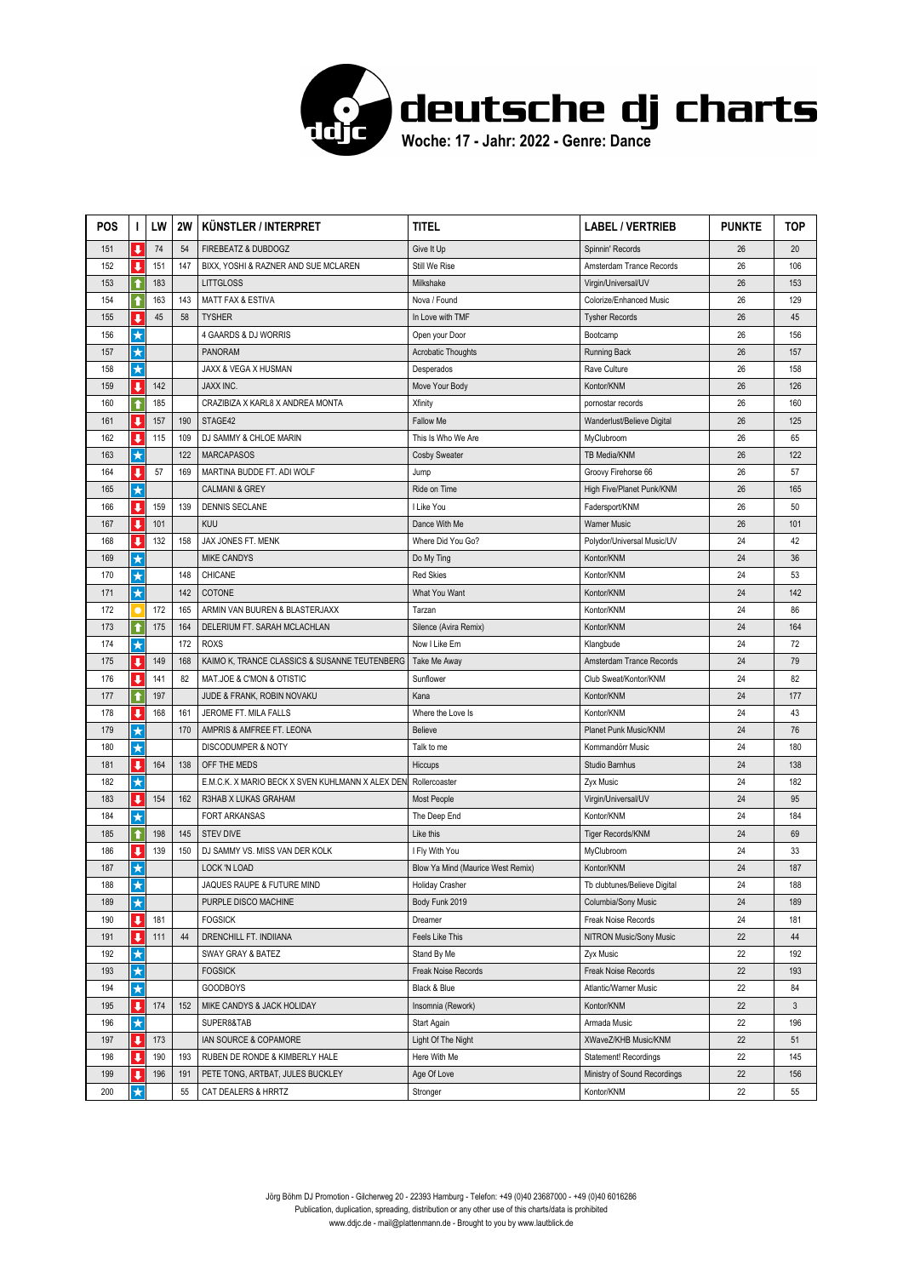

| <b>POS</b> | I.                      | LW  | <b>2W</b> | KÜNSTLER / INTERPRET                             | TITEL                             | <b>LABEL / VERTRIEB</b>      | <b>PUNKTE</b> | TOP |
|------------|-------------------------|-----|-----------|--------------------------------------------------|-----------------------------------|------------------------------|---------------|-----|
| 151        | $\ddot{\phantom{0}}$    | 74  | 54        | FIREBEATZ & DUBDOGZ                              | Give It Up                        | Spinnin' Records             | 26            | 20  |
| 152        | ↓                       | 151 | 147       | BIXX, YOSHI & RAZNER AND SUE MCLAREN             | Still We Rise                     | Amsterdam Trance Records     | 26            | 106 |
| 153        |                         | 183 |           | <b>LITTGLOSS</b>                                 | Milkshake                         | Virgin/Universal/UV          | 26            | 153 |
| 154        | ↑                       | 163 | 143       | <b>MATT FAX &amp; ESTIVA</b>                     | Nova / Found                      | Colorize/Enhanced Music      | 26            | 129 |
| 155        | J                       | 45  | 58        | <b>TYSHER</b>                                    | In Love with TMF                  | <b>Tysher Records</b>        | 26            | 45  |
| 156        | $\star$                 |     |           | 4 GAARDS & DJ WORRIS                             | Open your Door                    | Bootcamp                     | 26            | 156 |
| 157        | ★                       |     |           | <b>PANORAM</b>                                   | <b>Acrobatic Thoughts</b>         | <b>Running Back</b>          | 26            | 157 |
| 158        | $\star$                 |     |           | <b>JAXX &amp; VEGA X HUSMAN</b>                  | Desperados                        | Rave Culture                 | 26            | 158 |
| 159        | ↓                       | 142 |           | <b>JAXX INC.</b>                                 | Move Your Body                    | Kontor/KNM                   | 26            | 126 |
| 160        | ↑                       | 185 |           | CRAZIBIZA X KARL8 X ANDREA MONTA                 | Xfinity                           | pornostar records            | 26            | 160 |
| 161        | ↓                       | 157 | 190       | STAGE42                                          | <b>Fallow Me</b>                  | Wanderlust/Believe Digital   | 26            | 125 |
| 162        | ı                       | 115 | 109       | DJ SAMMY & CHLOE MARIN                           | This Is Who We Are                | MyClubroom                   | 26            | 65  |
| 163        | $\star$                 |     | 122       | <b>MARCAPASOS</b>                                | <b>Cosby Sweater</b>              | TB Media/KNM                 | 26            | 122 |
| 164        | ↓                       | 57  | 169       | MARTINA BUDDE FT. ADI WOLF                       | Jump                              | Groovy Firehorse 66          | 26            | 57  |
| 165        | $\star$                 |     |           | <b>CALMANI &amp; GREY</b>                        | Ride on Time                      | High Five/Planet Punk/KNM    | 26            | 165 |
| 166        | $\overline{\mathbf{I}}$ | 159 | 139       | <b>DENNIS SECLANE</b>                            | I Like You                        | Fadersport/KNM               | 26            | 50  |
| 167        | ↓                       | 101 |           | <b>KUU</b>                                       | Dance With Me                     | <b>Warner Music</b>          | 26            | 101 |
| 168        | ↓                       | 132 | 158       | JAX JONES FT. MENK                               | Where Did You Go?                 | Polydor/Universal Music/UV   | 24            | 42  |
| 169        | $\star$                 |     |           | <b>MIKE CANDYS</b>                               | Do My Ting                        | Kontor/KNM                   | 24            | 36  |
| 170        | $\star$                 |     | 148       | CHICANE                                          | <b>Red Skies</b>                  | Kontor/KNM                   | 24            | 53  |
| 171        | $\star$                 |     | 142       | COTONE                                           | What You Want                     | Kontor/KNM                   | 24            | 142 |
| 172        |                         | 172 | 165       | ARMIN VAN BUUREN & BLASTERJAXX                   | Tarzan                            | Kontor/KNM                   | 24            | 86  |
| 173        | ↑                       | 175 | 164       | DELERIUM FT. SARAH MCLACHLAN                     | Silence (Avira Remix)             | Kontor/KNM                   | 24            | 164 |
| 174        | $\star$                 |     | 172       | <b>ROXS</b>                                      | Now I Like Em                     | Klangbude                    | 24            | 72  |
| 175        | $\overline{\mathbf{I}}$ | 149 | 168       | KAIMO K, TRANCE CLASSICS & SUSANNE TEUTENBERG    | Take Me Away                      | Amsterdam Trance Records     | 24            | 79  |
| 176        | ↓                       | 141 | 82        | MAT.JOE & C'MON & OTISTIC                        | Sunflower                         | Club Sweat/Kontor/KNM        | 24            | 82  |
| 177        | ↑                       | 197 |           | JUDE & FRANK, ROBIN NOVAKU                       | Kana                              | Kontor/KNM                   | 24            | 177 |
| 178        | ↓                       | 168 | 161       | JEROME FT. MILA FALLS                            | Where the Love Is                 | Kontor/KNM                   | 24            | 43  |
| 179        | $\star$                 |     | 170       | AMPRIS & AMFREE FT. LEONA                        | <b>Believe</b>                    | Planet Punk Music/KNM        | 24            | 76  |
| 180        | $\star$                 |     |           | DISCODUMPER & NOTY                               | Talk to me                        | Kommandörr Music             | 24            | 180 |
| 181        | $\overline{\mathbf{I}}$ | 164 | 138       | OFF THE MEDS                                     | Hiccups                           | Studio Barnhus               | 24            | 138 |
| 182        | $\star$                 |     |           | E.M.C.K. X MARIO BECK X SVEN KUHLMANN X ALEX DEN | Rollercoaster                     | Zyx Music                    | 24            | 182 |
| 183        | $\overline{\mathbf{I}}$ | 154 | 162       | R3HAB X LUKAS GRAHAM                             | Most People                       | Virgin/Universal/UV          | 24            | 95  |
| 184        | $\star$                 |     |           | <b>FORT ARKANSAS</b>                             | The Deep End                      | Kontor/KNM                   | 24            | 184 |
| 185        | ↑                       | 198 | 145       | <b>STEV DIVE</b>                                 | Like this                         | Tiger Records/KNM            | 24            | 69  |
| 186        | ↓                       | 139 | 150       | DJ SAMMY VS. MISS VAN DER KOLK                   | I Fly With You                    | MyClubroom                   | 24            | 33  |
| 187        | $\star$                 |     |           | LOCK 'N LOAD                                     | Blow Ya Mind (Maurice West Remix) | Kontor/KNM                   | 24            | 187 |
| 188        | $\star$                 |     |           | JAQUES RAUPE & FUTURE MIND                       | <b>Holiday Crasher</b>            | Tb clubtunes/Believe Digital | 24            | 188 |
| 189        | $\star$                 |     |           | PURPLE DISCO MACHINE                             | Body Funk 2019                    | Columbia/Sony Music          | 24            | 189 |
| 190        | $\ddot{\phantom{a}}$    | 181 |           | <b>FOGSICK</b>                                   | Dreamer                           | Freak Noise Records          | 24            | 181 |
| 191        | ↓                       | 111 | 44        | DRENCHILL FT. INDIIANA                           | Feels Like This                   | NITRON Music/Sony Music      | 22            | 44  |
| 192        | $\star$                 |     |           | SWAY GRAY & BATEZ                                | Stand By Me                       | Zyx Music                    | 22            | 192 |
| 193        | $\star$                 |     |           | <b>FOGSICK</b>                                   | Freak Noise Records               | Freak Noise Records          | 22            | 193 |
| 194        | $\star$                 |     |           | <b>GOODBOYS</b>                                  | Black & Blue                      | Atlantic/Warner Music        | 22            | 84  |
| 195        | ↓                       | 174 | 152       | MIKE CANDYS & JACK HOLIDAY                       | Insomnia (Rework)                 | Kontor/KNM                   | 22            | 3   |
| 196        | $\star$                 |     |           | SUPER8&TAB                                       | Start Again                       | Armada Music                 | 22            | 196 |
| 197        | ↓                       | 173 |           | IAN SOURCE & COPAMORE                            | Light Of The Night                | XWaveZ/KHB Music/KNM         | 22            | 51  |
| 198        | ↓                       | 190 | 193       | RUBEN DE RONDE & KIMBERLY HALE                   | Here With Me                      | Statement! Recordings        | 22            | 145 |
| 199        | $\overline{\mathbf{I}}$ | 196 | 191       | PETE TONG, ARTBAT, JULES BUCKLEY                 | Age Of Love                       | Ministry of Sound Recordings | 22            | 156 |
| 200        | $\star$                 |     | 55        | CAT DEALERS & HRRTZ                              | Stronger                          | Kontor/KNM                   | 22            | 55  |